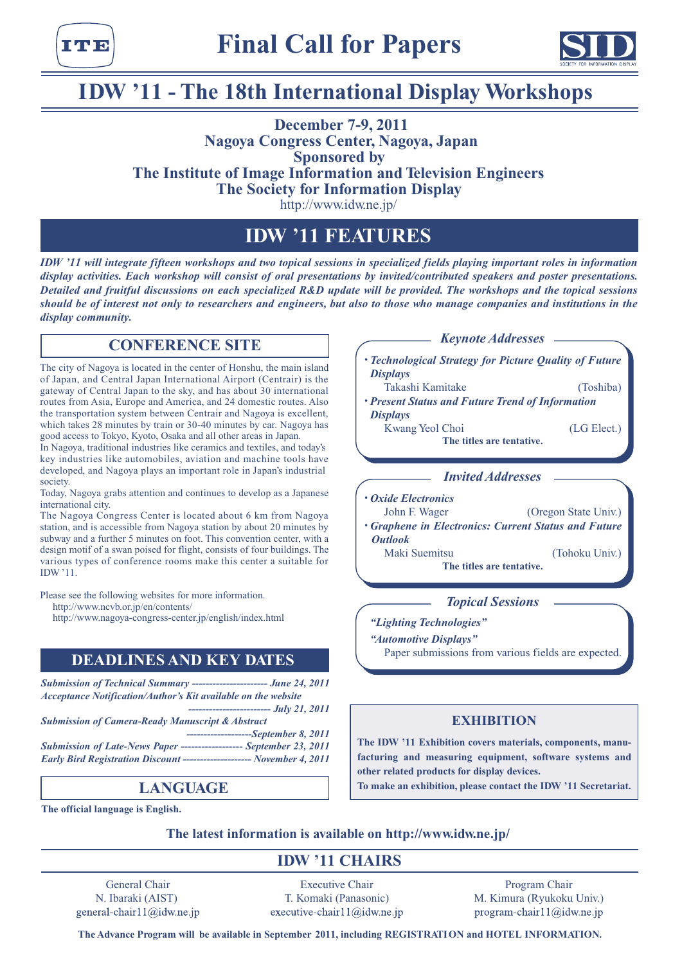



# **IDW** '11 - The 18th International Display Workshops

### **2011 7-9, December Nagoya Congress Center, Nagoya, Japan Sponsored** by **The Institute of Image Information and Television Engineers The Society for Information Display**

http://www.idw.ne.jp/

### **FEATURES 11 'IDW**

*IDW* '11 will integrate fifteen workshops and two topical sessions in specialized fields playing important roles in information display activities. Each workshop will consist of oral presentations by invited/contributed speakers and poster presentations. *Detailed and fruitful discussions on each specialized R&D update will be provided. The workshops and the topical sessions should be of interest not only to researchers and engineers, but also to those who manage companies and institutions in the*  $display community.$ 

### **CONFERENCE SITE**

The city of Nagoya is located in the center of Honshu, the main island of Japan, and Central Japan International Airport (Centrair) is the gateway of Central Japan to the sky, and has about 30 international routes from Asia, Europe and America, and 24 domestic routes. Also the transportation system between Centrair and Nagoya is excellent, which takes 28 minutes by train or 30-40 minutes by car. Nagoya has good access to Tokyo, Kyoto, Osaka and all other areas in Japan.

In Nagoya, traditional industries like ceramics and textiles, and today's key industries like automobiles, aviation and machine tools have developed, and Nagoya plays an important role in Japan's industrial society

Today, Nagoya grabs attention and continues to develop as a Japanese international city.

The Nagoya Congress Center is located about 6 km from Nagoya station, and is accessible from Nagoya station by about 20 minutes by subway and a further 5 minutes on foot. This convention center, with a design motif of a swan poised for flight, consists of four buildings. The various types of conference rooms make this center a suitable for IDW '11.

Please see the following websites for more information.

http://www.ncvb.or.jp/en/contents/

http://www.nagoya-congress-center.jp/english/index.html

### **DEADLINES AND KEY DATES**

*Submission of Technical Summary ----------------------- June 24, 2011* Acceptance Notification/Author's Kit available on the website *2011 21, July ------------------------ Submission of Camera-Ready Manuscript & Abstract 2011 8, September------------------- Submission of Late-News Paper ------------------ September 23, 2011* **1113: Early Bird Registration Discount --------------------- November 4, 2011** 

### **LANGUAGE**

**The official language is English.** 

*Keynote Addresses* – *• Technological Strategy for Picture Quality of Future Displays*  Takashi Kamitake (Toshiba) *Present Status and Future Trend of Information Displays* Kwang Yeol Choi (LG Elect.) **The titles are tentative.** *Addresses Invited*

*• Oxide Electronics* John F. Wager ... (Oregon State Univ.) *• Graphene in Electronics: Current Status and Future Outlook* Maki Suemitsu (Tohoku Univ.) **The titles are tentative.** 

*Topical Sessions* 

*"Technologies Lighting "*

*"Automotive Displays"* 

Paper submissions from various fields are expected.

### **EXHIBITION**

facturing and measuring equipment, software systems and The IDW '11 Exhibition covers materials, components, manuother related products for display devices. To make an exhibition, please contact the IDW '11 Secretariat.

The latest information is available on http://www.idw.ne.jp/

### **111 CHAIRS**

General Chair N. Ibaraki (AIST) general-chair11@idw.ne.jp

**Executive Chair** T. Komaki (Panasonic) executive-chair11@idw.ne.jp

Program Chair M. Kimura (Ryukoku Univ.) program-chair11@idw.ne.jp

 $The Advance Program will be available in September 2011, including REGISTRATION and HOTEL INFORMATION.$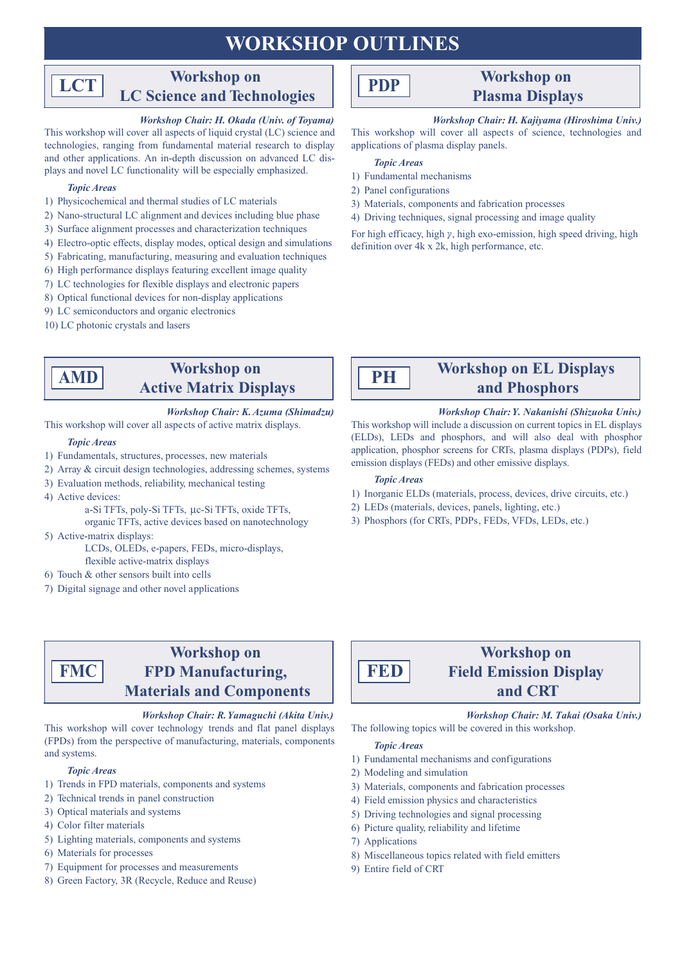## **WORKSHOP OUTLINES**

#### **Workshop** on **LC** Science and Technologies **LCT**

### *Workshop Chair: H. Okada (Univ. of Toyama)*

This workshop will cover all aspects of liquid crystal (LC) science and technologies, ranging from fundamental material research to display plays and novel LC functionality will be especially emphasized. and other applications. An in-depth discussion on advanced LC dis-

#### *Areas Topic*

- 1) Physicochemical and thermal studies of LC materials
- 2) Nano-structural LC alignment and devices including blue phase
- 3) Surface alignment processes and characterization techniques
- 4) Electro-optic effects, display modes, optical design and simulations
- 5) Fabricating, manufacturing, measuring and evaluation techniques
- $\delta$ ) High performance displays featuring excellent image quality
- 7) LC technologies for flexible displays and electronic papers
- 8) Optical functional devices for non-display applications
- 9) LC semiconductors and organic electronics
- 10) LC photonic crystals and lasers

### **Workshop** on **Active Matrix Displays**

### *Workshop Chair: K. Azuma (Shimadzu)*

This workshop will cover all aspects of active matrix displays.

#### *Areas Topic*

**AMD**

- 1) Fundamentals, structures, processes, new materials
- 2) Array & circuit design technologies, addressing schemes, systems
- 3) Evaluation methods, reliability, mechanical testing
- 4) Active devices:

a-Si TFTs, poly-Si TFTs, µc-Si TFTs, oxide TFTs,

organic TFTs, active devices based on nanotechnology 5) Active-matrix displays:

> LCDs, OLEDs, e-papers, FEDs, micro-displays, flexible active-matrix displays

- 6) Touch  $&$  other sensors built into cells
- 7) Digital signage and other novel applications

### **Workshop** on **FPD** Manufacturing, **Materials** and **Components**

### *Workshop Chair: R. Yamaguchi (Akita Univ.)*

This workshop will cover technology trends and flat panel displays (FPDs) from the perspective of manufacturing, materials, components and systems.

### *Areas Topic*

**FMC**

- 1) Trends in FPD materials, components and systems
- 2) Technical trends in panel construction
- 3) Optical materials and systems
- 4) Color filter materials
- 5) Lighting materials, components and systems
- 6) Materials for processes
- 7) Equipment for processes and measurements
- 8) Green Factory, 3R (Recycle, Reduce and Reuse)

# **PDP**

### **Workshop** on **Displays Plasma**

### *Workshop Chair: H. Kajiyama (Hiroshima Univ.)*

This workshop will cover all aspects of science, technologies and applications of plasma display panels.

#### *Areas Topic*

- 1) Fundamental mechanisms
- 2) Panel configurations
- 3) Materials, components and fabrication processes
- 4) Driving techniques, signal processing and image quality

For high efficacy, high  $\gamma$ , high exo-emission, high speed driving, high definition over  $4k \times 2k$ , high performance, etc.



### **Workshop on EL Displays Phosphors and**

### *Korkshop Chair: Y. Nakanishi (Shizuoka Univ.)*

This workshop will include a discussion on current topics in EL displays (ELDs), LEDs and phosphors, and will also deal with phosphor application, phosphor screens for CRTs, plasma displays (PDPs), field emission displays (FEDs) and other emissive displays.

### *Areas Topic*

- 1) Inorganic ELDs (materials, process, devices, drive circuits, etc.)
- 2) LEDs (materials, devices, panels, lighting, etc.)
- 3) Phosphors (for CRTs, PDPs, FEDs, VFDs, LEDs, etc.)



### **Workshop** on **Field Emission Display CRT and**

*Workshop Chair: M. Takai (Osaka Univ.)* The following topics will be covered in this workshop.

#### *Topic* Areas

- 1) Fundamental mechanisms and configurations
- 2) Modeling and simulation
- 3) Materials, components and fabrication processes
- 4) Field emission physics and characteristics
- 5) Driving technologies and signal processing
- 6) Picture quality, reliability and lifetime
- 7) Applications
- 8) Miscellaneous topics related with field emitters
- 9) Entire field of CRT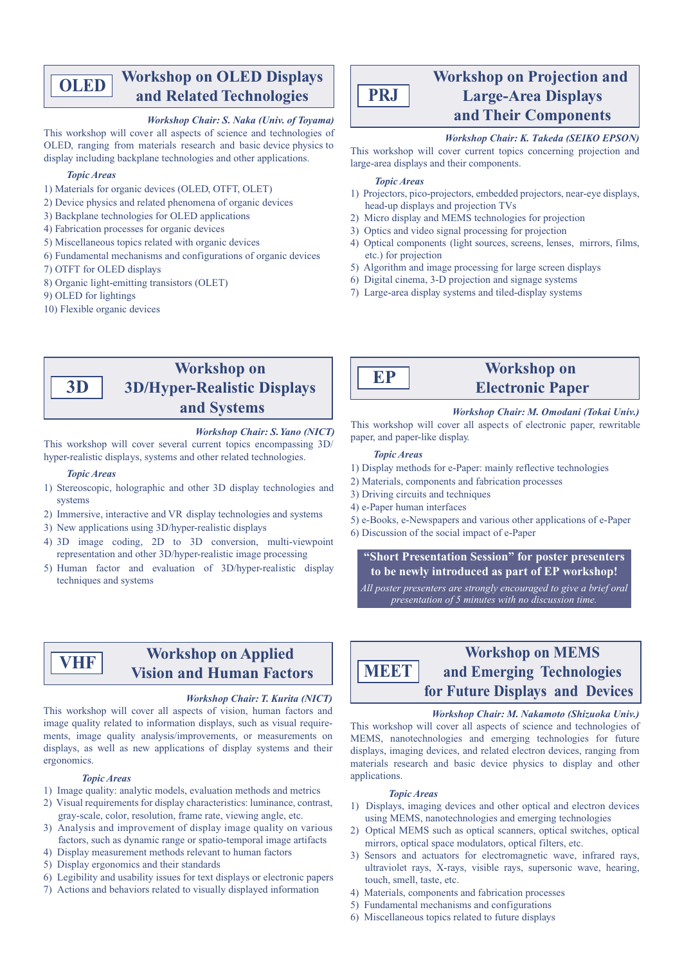#### **Workshop on OLED Displays and Related Technologies OLED**

#### *Workshop Chair: S. Naka (Univ. of Toyama)*

This workshop will cover all aspects of science and technologies of OLED, ranging from materials research and basic device physics to display including backplane technologies and other applications.

#### *Topic Areas*

- 1) Materials for organic devices (OLED, OTFT, OLET)
- 2) Device physics and related phenomena of organic devices
- 3) Backplane technologies for OLED applications
- 4) Fabrication processes for organic devices
- 5) Miscellaneous topics related with organic devices
- 6) Fundamental mechanisms and configurations of organic devices
- 7) OTFT for OLED displays
- 8) Organic light-emitting transistors (OLET)
- 9) OLED for lightings
- 10) Flexible organic devices

# **PRJ**

### **Workshop** on Projection and **Large-Area Displays and Their Components**

### *Workshop Chair: K. Takeda (SEIKO EPSON)*

This workshop will cover current topics concerning projection and large-area displays and their components.

#### *Areas Topic*

- 1) Projectors, pico-projectors, embedded projectors, near-eye displays, head-up displays and projection TVs
- 2) Micro display and MEMS technologies for projection
- 3) Optics and video signal processing for projection
- 4) Optical components (light sources, screens, lenses, mirrors, films, etc.) for projection
- 5) Algorithm and image processing for large screen displays
- 6) Digital cinema,  $3-D$  projection and signage systems
- 7) Large-area display systems and tiled-display systems

### **Workshop** on **3D/Hyper-Realistic Displays Systems and**

### *Workshop Chair: S. Yano (NICT)*

This workshop will cover several current topics encompassing 3D/ hyper-realistic displays, systems and other related technologies.

#### *Topic* Areas

**D3**

- 1) Stereoscopic, holographic and other 3D display technologies and systems
- 2) Immersive, interactive and VR display technologies and systems
- 3) New applications using 3D/hyper-realistic displays
- 4) 3D image coding, 2D to 3D conversion, multi-viewpoint representation and other 3D/hyper-realistic image processing
- 5) Human factor and evaluation of 3D/hyper-realistic display techniques and systems



### **Workshop** on **Electronic Paper**

*Workshop Chair: M. Omodani (Tokai Univ.)* 

This workshop will cover all aspects of electronic paper, rewritable paper, and paper-like display.

#### *Areas Topic*

- 1) Display methods for e-Paper: mainly reflective technologies
- 2) Materials, components and fabrication processes
- 3) Driving circuits and techniques
- 4) e-Paper human interfaces
- 5) e-Books, e-Newspapers and various other applications of e-Paper
- 6) Discussion of the social impact of e-Paper

 **"Short Presentation Session" for poster presenters** to be newly introduced as part of EP workshop!

*All poster presenters are strongly encouraged to give a brief oral presentation of 5 minutes with no discussion time.* 

**VHF**

### **Workshop** on Applied **Factors Factors**

#### *Workshop Chair: T. Kurita (NICT)*

This workshop will cover all aspects of vision, human factors and ments, image quality analysis/improvements, or measurements on image quality related to information displays, such as visual requiredisplays, as well as new applications of display systems and their ergonomics.

#### *Areas Topic*

- 1) Image quality: analytic models, evaluation methods and metrics
- 2) Visual requirements for display characteristics: luminance, contrast, gray-scale, color, resolution, frame rate, viewing angle, etc.
- 3) Analysis and improvement of display image quality on various factors, such as dynamic range or spatio-temporal image artifacts
- 4) Display measurement methods relevant to human factors
- 5) Display ergonomics and their standards
- 6) Legibility and usability issues for text displays or electronic papers
- 7) Actions and behaviors related to visually displayed information

**Workshop on MEMS** and Emerging Technologies **for Future Displays and Devices MEET**

#### *Workshop Chair: M. Nakamoto (Shizuoka Univ.)*

This workshop will cover all aspects of science and technologies of MEMS, nanotechnologies and emerging technologies for future displays, imaging devices, and related electron devices, ranging from materials research and basic device physics to display and other .applications

#### *Areas Topic*

- 1) Displays, imaging devices and other optical and electron devices using MEMS, nanotechnologies and emerging technologies
- 2) Optical MEMS such as optical scanners, optical switches, optical mirrors, optical space modulators, optical filters, etc.
- 3) Sensors and actuators for electromagnetic wave, infrared rays, ultraviolet rays, X-rays, visible rays, supersonic wave, hearing, touch, smell, taste, etc.
- 4) Materials, components and fabrication processes
- 5) Fundamental mechanisms and configurations
- $\delta$ ) Miscellaneous topics related to future displays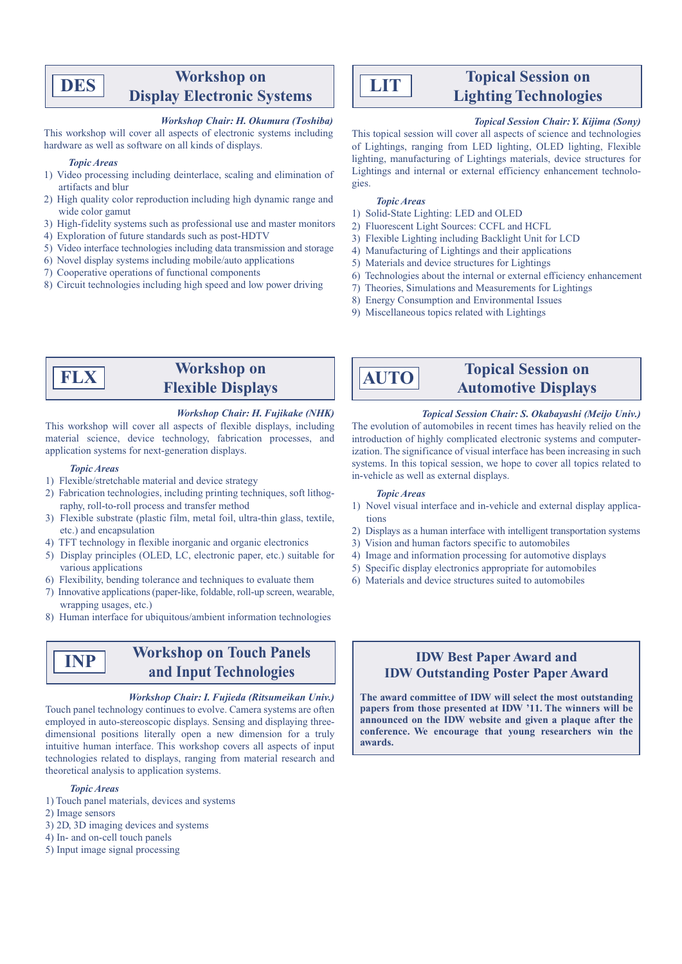### **Workshop** on **Display Electronic Systems**

#### $Workshop$  *Chair*: *H. Okumura (Toshiba)*

This workshop will cover all aspects of electronic systems including hardware as well as software on all kinds of displays.

#### *Areas Topic*

**DES**

- 1) Video processing including deinterlace, scaling and elimination of artifacts and blur
- 2) High quality color reproduction including high dynamic range and wide color gamut
- 3) High-fidelity systems such as professional use and master monitors
- 4) Exploration of future standards such as post-HDTV
- 5) Video interface technologies including data transmission and storage
- 6) Novel display systems including mobile/auto applications
- 7) Cooperative operations of functional components
- 8) Circuit technologies including high speed and low power driving

# **LIT**

### **Topical Session on Lighting Technologies**

#### *Topical Session Chair: Y. Kijima (Sony)*

This topical session will cover all aspects of science and technologies of Lightings, ranging from LED lighting, OLED lighting, Flexible lighting, manufacturing of Lightings materials, device structures for Lightings and internal or external efficiency enhancement technologies.

#### *Areas Topic*

**AUTO**

- 1) Solid-State Lighting: LED and OLED
- 2) Fluorescent Light Sources: CCFL and HCFL
- 3) Flexible Lighting including Backlight Unit for LCD
- 4) Manufacturing of Lightings and their applications
- 5) Materials and device structures for Lightings
- 6) Technologies about the internal or external efficiency enhancement

The evolution of automobiles in recent times has heavily relied on the

ization. The significance of visual interface has been increasing in such introduction of highly complicated electronic systems and computer-

systems. In this topical session, we hope to cover all topics related to

1) Novel visual interface and in-vehicle and external display applications 2) Displays as a human interface with intelligent transportation systems

3) Vision and human factors specific to automobiles 4) Image and information processing for automotive displays 5) Specific display electronics appropriate for automobiles 6) Materials and device structures suited to automobiles

**Topical Session on** 

**Automotive Displays** 

*Topical Session Chair: S. Okabayashi (Meijo Univ.)* 

- 7) Theories, Simulations and Measurements for Lightings
- 8) Energy Consumption and Environmental Issues
- 9) Miscellaneous topics related with Lightings

in-vehicle as well as external displays.

*Areas Topic* 

### **Workshop** on **Flexible Displays**

#### $Workshop Chair: H. Fujikake (NHK)$

This workshop will cover all aspects of flexible displays, including material science, device technology, fabrication processes, and application systems for next-generation displays.

#### *Topic Areas*

**FLX**

- 1) Flexible/stretchable material and device strategy
- 2) Fabrication technologies, including printing techniques, soft lithography, roll-to-roll process and transfer method
- 3) Flexible substrate (plastic film, metal foil, ultra-thin glass, textile, etc.) and encapsulation
- 4) TFT technology in flexible inorganic and organic electronics
- 5) Display principles (OLED, LC, electronic paper, etc.) suitable for various applications
- 6) Flexibility, bending tolerance and techniques to evaluate them
- 7) Innovative applications (paper-like, foldable, roll-up screen, wearable, wrapping usages, etc.)
- 8) Human interface for ubiquitous/ambient information technologies

### **Workshop on Touch Panels** and Input Technologies

#### *Workshop Chair: I. Fujieda (Ritsumeikan Univ.)*

Touch panel technology continues to evolve. Camera systems are often dimensional positions literally open a new dimension for a truly employed in auto-stereoscopic displays. Sensing and displaying threeintuitive human interface. This workshop covers all aspects of input technologies related to displays, ranging from material research and theoretical analysis to application systems.

#### *Areas Topic*

- 1) Touch panel materials, devices and systems
- 2) Image sensors

**INP**

- 3) 2D, 3D imaging devices and systems
- 4) In- and on-cell touch panels
- 5) Input image signal processing

### **IDW Best Paper Award and IDW Outstanding Poster Paper Award**

The award committee of IDW will select the most outstanding papers from those presented at IDW '11. The winners will be announced on the IDW website and given a plaque after the conference. We encourage that young researchers win the **.awards**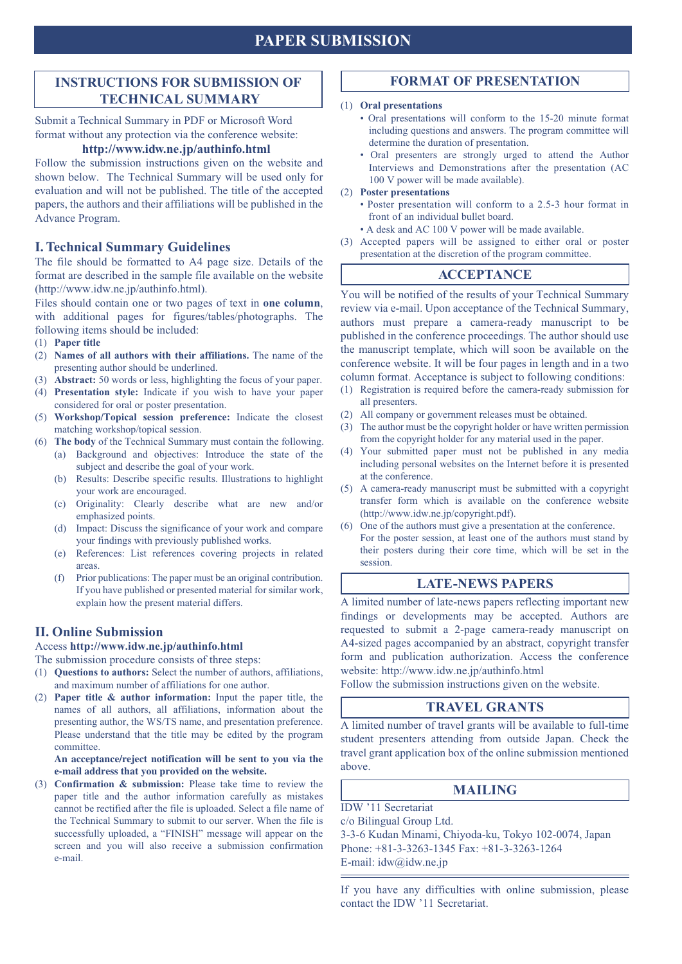### **INSTRUCTIONS FOR SUBMISSION OF TECHNICAL SUMMARY**

Submit a Technical Summary in PDF or Microsoft Word format without any protection via the conference website:

### http://www.idw.ne.jp/authinfo.html

Follow the submission instructions given on the website and shown below. The Technical Summary will be used only for evaluation and will not be published. The title of the accepted papers, the authors and their affiliations will be published in the Advance Program.

### **I. Technical Summary Guidelines**

The file should be formatted to A4 page size. Details of the format are described in the sample file available on the website  $(\text{http://www.idw.ne.jp/authinfo.html}).$ 

Files should contain one or two pages of text in **one column**, with additional pages for figures/tables/photographs. The following items should be included:

- (1) Paper title
- (2) Names of all authors with their affiliations. The name of the presenting author should be underlined.
- (3) **Abstract:** 50 words or less, highlighting the focus of your paper.
- (4) Presentation style: Indicate if you wish to have your paper considered for oral or poster presentation.
- (5) Workshop/Topical session preference: Indicate the closest matching workshop/topical session.
- (6) The body of the Technical Summary must contain the following. (a) Background and objectives: Introduce the state of the subject and describe the goal of your work.
	- (b) Results: Describe specific results. Illustrations to highlight your work are encouraged.
	- (c) Originality: Clearly describe what are new and/or emphasized points.
	- (d) Impact: Discuss the significance of your work and compare your findings with previously published works.
	- (e) References: List references covering projects in related .areas
	- $\Gamma$ . Prior publications: The paper must be an original contribution. If you have published or presented material for similar work, explain how the present material differs.

### **II. Online Submission**

Access http://www.idw.ne.jp/authinfo.html

The submission procedure consists of three steps:

- (1) **Questions to authors:** Select the number of authors, affiliations. and maximum number of affiliations for one author.
- (2) **Paper title**  $\&$  **author information:** Input the paper title, the names of all authors, all affiliations, information about the presenting author, the WS/TS name, and presentation preference. Please understand that the title may be edited by the program .committee

An acceptance/reject notification will be sent to you via the e-mail address that you provided on the website.

(3) **Confirmation & submission:** Please take time to review the paper title and the author information carefully as mistakes cannot be rectified after the file is uploaded. Select a file name of the Technical Summary to submit to our server. When the file is successfully uploaded, a "FINISH" message will appear on the screen and you will also receive a submission confirmation e-mail.

### **FORMAT OF PRESENTATION**

#### **(1)** Oral presentations

- Oral presentations will conform to the 15-20 minute format including questions and answers. The program committee will determine the duration of presentation.
- Oral presenters are strongly urged to attend the Author Interviews and Demonstrations after the presentation (AC 100 V power will be made available).

#### **(2)** Poster presentations

- Poster presentation will conform to a 2.5-3 hour format in front of an individual bullet board.
- A desk and AC 100 V power will be made available.
- (3) Accepted papers will be assigned to either oral or poster presentation at the discretion of the program committee.

### **ACCEPTANCE**

You will be notified of the results of your Technical Summary review via e-mail. Upon acceptance of the Technical Summary, authors must prepare a camera-ready manuscript to be published in the conference proceedings. The author should use the manuscript template, which will soon be available on the conference website. It will be four pages in length and in a two column format. Acceptance is subject to following conditions:

- $f(1)$  Registration is required before the camera-ready submission for all presenters.
- (2) All company or government releases must be obtained.
- $p(3)$  The author must be the copyright holder or have written permission from the copyright holder for any material used in the paper.
- (4) Your submitted paper must not be published in any media including personal websites on the Internet before it is presented at the conference.
- $(5)$  A camera-ready manuscript must be submitted with a copyright transfer form which is available on the conference website (http://www.idw.ne.jp/copyright.pdf).
- $\epsilon$ ). One of the authors must give a presentation at the conference. For the poster session, at least one of the authors must stand by their posters during their core time, which will be set in the session.

### **LATE-NEWS PAPERS**

A limited number of late-news papers reflecting important new findings or developments may be accepted. Authors are requested to submit a 2-page camera-ready manuscript on A4-sized pages accompanied by an abstract, copyright transfer form and publication authorization. Access the conference website: http://www.idw.ne.jp/authinfo.html

Follow the submission instructions given on the website.

### **TRAVEL GRANTS**

A limited number of travel grants will be available to full-time student presenters attending from outside Japan. Check the travel grant application box of the online submission mentioned above.

### **MAILING**

**IDW** '11 Secretariat  $c$ o Bilingual Group Ltd. 3-3-6 Kudan Minami, Chiyoda-ku, Tokyo 102-0074, Japan Phone:  $+81-3-3263-1345$  Fax:  $+81-3-3263-1264$ E-mail:  $idw@idw.ne.jp$ 

If you have any difficulties with online submission, please contact the IDW '11 Secretariat.